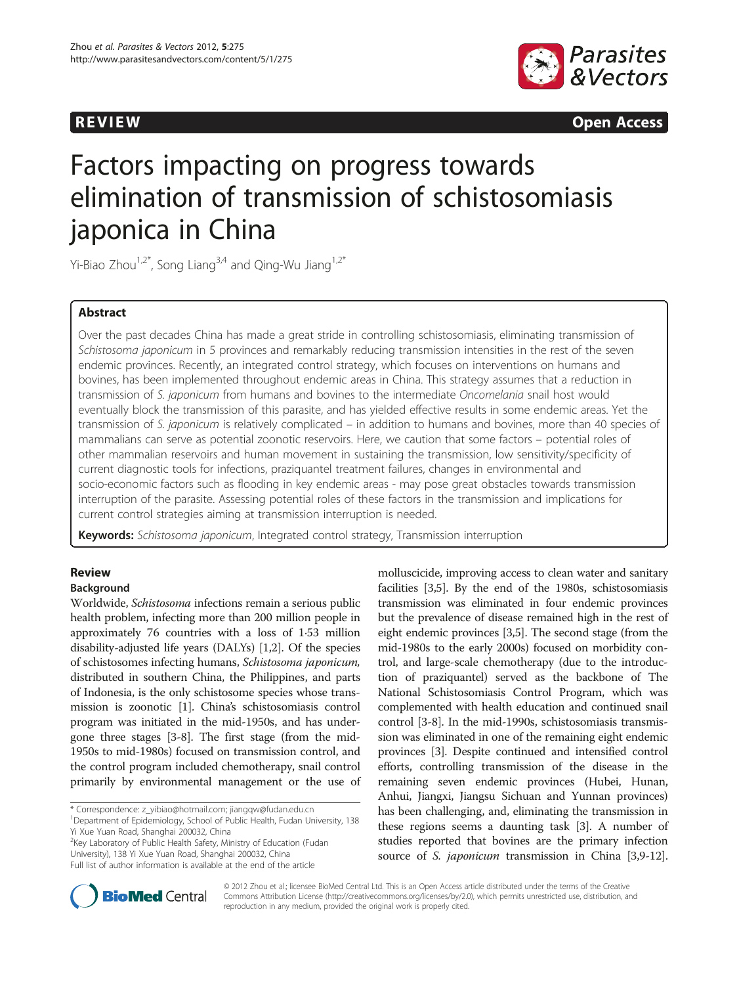



**REVIEW REVIEW CONSTRUCTER ACCESS** 

# Factors impacting on progress towards elimination of transmission of schistosomiasis japonica in China

Yi-Biao Zhou<sup>1,2\*</sup>, Song Liang<sup>3,4</sup> and Qing-Wu Jiang<sup>1,2\*</sup>

# Abstract

Over the past decades China has made a great stride in controlling schistosomiasis, eliminating transmission of Schistosoma japonicum in 5 provinces and remarkably reducing transmission intensities in the rest of the seven endemic provinces. Recently, an integrated control strategy, which focuses on interventions on humans and bovines, has been implemented throughout endemic areas in China. This strategy assumes that a reduction in transmission of S. japonicum from humans and bovines to the intermediate Oncomelania snail host would eventually block the transmission of this parasite, and has yielded effective results in some endemic areas. Yet the transmission of S. japonicum is relatively complicated – in addition to humans and bovines, more than 40 species of mammalians can serve as potential zoonotic reservoirs. Here, we caution that some factors – potential roles of other mammalian reservoirs and human movement in sustaining the transmission, low sensitivity/specificity of current diagnostic tools for infections, praziquantel treatment failures, changes in environmental and socio-economic factors such as flooding in key endemic areas - may pose great obstacles towards transmission interruption of the parasite. Assessing potential roles of these factors in the transmission and implications for current control strategies aiming at transmission interruption is needed.

Keywords: Schistosoma japonicum, Integrated control strategy, Transmission interruption

## Review

## Background

Worldwide, Schistosoma infections remain a serious public health problem, infecting more than 200 million people in approximately 76 countries with a loss of 1·53 million disability-adjusted life years (DALYs) [\[1,2\]](#page-5-0). Of the species of schistosomes infecting humans, Schistosoma japonicum, distributed in southern China, the Philippines, and parts of Indonesia, is the only schistosome species whose transmission is zoonotic [[1\]](#page-5-0). China's schistosomiasis control program was initiated in the mid-1950s, and has undergone three stages [[3-8\]](#page-5-0). The first stage (from the mid-1950s to mid-1980s) focused on transmission control, and the control program included chemotherapy, snail control primarily by environmental management or the use of

\* Correspondence: [z\\_yibiao@hotmail.com;](mailto:z_yibiao@hotmail.com) [jiangqw@fudan.edu.cn](mailto:jiangqw@fudan.edu.cn) <sup>1</sup>

<sup>1</sup>Department of Epidemiology, School of Public Health, Fudan University, 138 Yi Xue Yuan Road, Shanghai 200032, China

<sup>2</sup>Key Laboratory of Public Health Safety, Ministry of Education (Fudan University), 138 Yi Xue Yuan Road, Shanghai 200032, China Full list of author information is available at the end of the article

molluscicide, improving access to clean water and sanitary facilities [[3,5](#page-5-0)]. By the end of the 1980s, schistosomiasis transmission was eliminated in four endemic provinces but the prevalence of disease remained high in the rest of eight endemic provinces [\[3,5\]](#page-5-0). The second stage (from the mid-1980s to the early 2000s) focused on morbidity control, and large-scale chemotherapy (due to the introduction of praziquantel) served as the backbone of The National Schistosomiasis Control Program, which was complemented with health education and continued snail control [[3-8\]](#page-5-0). In the mid-1990s, schistosomiasis transmission was eliminated in one of the remaining eight endemic provinces [[3](#page-5-0)]. Despite continued and intensified control efforts, controlling transmission of the disease in the remaining seven endemic provinces (Hubei, Hunan, Anhui, Jiangxi, Jiangsu Sichuan and Yunnan provinces) has been challenging, and, eliminating the transmission in these regions seems a daunting task [\[3](#page-5-0)]. A number of studies reported that bovines are the primary infection source of *S. japonicum* transmission in China [[3,9](#page-5-0)-[12](#page-5-0)].



© 2012 Zhou et al.; licensee BioMed Central Ltd. This is an Open Access article distributed under the terms of the Creative Commons Attribution License [\(http://creativecommons.org/licenses/by/2.0\)](http://creativecommons.org/licenses/by/2.0), which permits unrestricted use, distribution, and reproduction in any medium, provided the original work is properly cited.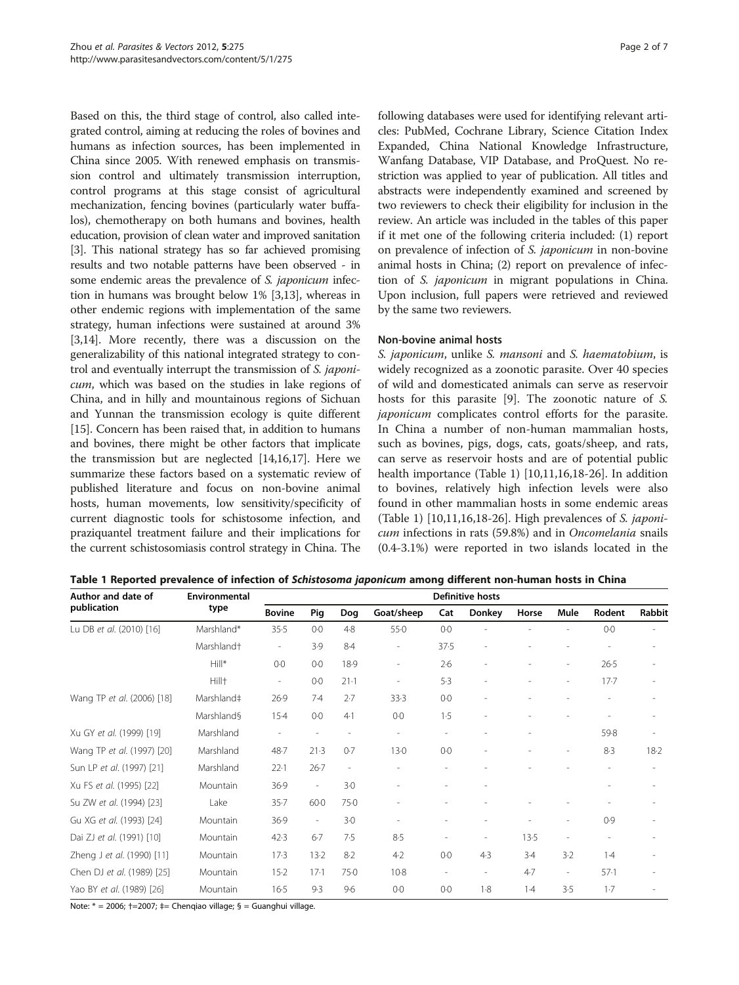Based on this, the third stage of control, also called integrated control, aiming at reducing the roles of bovines and humans as infection sources, has been implemented in China since 2005. With renewed emphasis on transmission control and ultimately transmission interruption, control programs at this stage consist of agricultural mechanization, fencing bovines (particularly water buffalos), chemotherapy on both humans and bovines, health education, provision of clean water and improved sanitation [[3](#page-5-0)]. This national strategy has so far achieved promising results and two notable patterns have been observed - in some endemic areas the prevalence of S. japonicum infection in humans was brought below 1% [[3](#page-5-0),[13](#page-5-0)], whereas in other endemic regions with implementation of the same strategy, human infections were sustained at around 3% [[3,14](#page-5-0)]. More recently, there was a discussion on the generalizability of this national integrated strategy to control and eventually interrupt the transmission of S. japonicum, which was based on the studies in lake regions of China, and in hilly and mountainous regions of Sichuan and Yunnan the transmission ecology is quite different [[15](#page-5-0)]. Concern has been raised that, in addition to humans and bovines, there might be other factors that implicate the transmission but are neglected [[14,16,17\]](#page-5-0). Here we summarize these factors based on a systematic review of published literature and focus on non-bovine animal hosts, human movements, low sensitivity/specificity of current diagnostic tools for schistosome infection, and praziquantel treatment failure and their implications for the current schistosomiasis control strategy in China. The following databases were used for identifying relevant articles: PubMed, Cochrane Library, Science Citation Index Expanded, China National Knowledge Infrastructure, Wanfang Database, VIP Database, and ProQuest. No restriction was applied to year of publication. All titles and abstracts were independently examined and screened by two reviewers to check their eligibility for inclusion in the review. An article was included in the tables of this paper if it met one of the following criteria included: (1) report on prevalence of infection of S. japonicum in non-bovine animal hosts in China; (2) report on prevalence of infection of S. japonicum in migrant populations in China. Upon inclusion, full papers were retrieved and reviewed by the same two reviewers.

## Non-bovine animal hosts

S. japonicum, unlike S. mansoni and S. haematobium, is widely recognized as a zoonotic parasite. Over 40 species of wild and domesticated animals can serve as reservoir hosts for this parasite [[9\]](#page-5-0). The zoonotic nature of S. japonicum complicates control efforts for the parasite. In China a number of non-human mammalian hosts, such as bovines, pigs, dogs, cats, goats/sheep, and rats, can serve as reservoir hosts and are of potential public health importance (Table 1) [[10,11,16,18](#page-5-0)-[26\]](#page-5-0). In addition to bovines, relatively high infection levels were also found in other mammalian hosts in some endemic areas (Table 1)  $[10,11,16,18-26]$  $[10,11,16,18-26]$  $[10,11,16,18-26]$ . High prevalences of S. japonicum infections in rats (59.8%) and in Oncomelania snails (0.4-3.1%) were reported in two islands located in the

Table 1 Reported prevalence of infection of Schistosoma japonicum among different non-human hosts in China

| Author and date of<br>publication | Environmental<br>type  | Definitive hosts         |                          |                |                          |                          |                          |                          |                          |          |        |  |
|-----------------------------------|------------------------|--------------------------|--------------------------|----------------|--------------------------|--------------------------|--------------------------|--------------------------|--------------------------|----------|--------|--|
|                                   |                        | <b>Bovine</b>            | Pig                      | Dog            | Goat/sheep               | Cat                      | <b>Donkey</b>            | Horse                    | Mule                     | Rodent   | Rabbit |  |
| Lu DB et al. (2010) [16]          | Marshland*             | 35.5                     | 0.0                      | 4.8            | 55.0                     | $0-0$                    |                          |                          | ÷                        | $0-0$    |        |  |
|                                   | Marshland <sup>+</sup> | $\overline{\phantom{a}}$ | 3.9                      | $8-4$          | $\overline{\phantom{a}}$ | 37.5                     | $\overline{a}$           |                          |                          |          |        |  |
|                                   | $Hill*$                | $0-0$                    | $0-0$                    | 18.9           | $\overline{a}$           | $2-6$                    |                          |                          | $\overline{a}$           | $26 - 5$ |        |  |
|                                   | Hill <sup>+</sup>      | $\overline{\phantom{a}}$ | $0-0$                    | $21-1$         | $\overline{\phantom{a}}$ | 5.3                      |                          |                          | ٠                        | $17 - 7$ |        |  |
| Wang TP et al. (2006) [18]        | Marshland‡             | 26.9                     | 7.4                      | 2.7            | 33.3                     | 0.0                      |                          |                          |                          |          |        |  |
|                                   | Marshland§             | $15-4$                   | 0.0                      | 4.1            | $0-0$                    | 1.5                      |                          |                          | ٠                        |          |        |  |
| Xu GY et al. (1999) [19]          | Marshland              | $\overline{\phantom{a}}$ | $\overline{\phantom{a}}$ | $\overline{a}$ | $\overline{\phantom{a}}$ | ٠                        |                          | $\overline{\phantom{a}}$ |                          | 59.8     |        |  |
| Wang TP et al. (1997) [20]        | Marshland              | 48.7                     | 21.3                     | 0.7            | 130                      | 0.0                      |                          |                          | ٠                        | 8.3      | $18-2$ |  |
| Sun LP et al. (1997) [21]         | Marshland              | 22.1                     | $26 - 7$                 | Ĭ.             |                          | $\overline{\phantom{a}}$ |                          |                          |                          |          |        |  |
| Xu FS et al. (1995) [22]          | Mountain               | 36.9                     | $\overline{\phantom{a}}$ | 3.0            |                          |                          |                          |                          |                          |          |        |  |
| Su ZW et al. (1994) [23]          | Lake                   | 35.7                     | $60 - 0$                 | 75.0           |                          |                          |                          |                          |                          |          |        |  |
| Gu XG et al. (1993) [24]          | Mountain               | 36.9                     | $\overline{\phantom{a}}$ | $3-0$          |                          |                          | $\overline{a}$           |                          | $\overline{\phantom{a}}$ | 0.9      |        |  |
| Dai ZJ et al. (1991) [10]         | Mountain               | 42.3                     | $6-7$                    | 7.5            | 8.5                      | ۰                        |                          | 13.5                     | $\overline{a}$           |          |        |  |
| Zheng J et al. (1990) [11]        | Mountain               | 17.3                     | 13.2                     | $8-2$          | $4-2$                    | $0-0$                    | 4.3                      | $3-4$                    | 3.2                      | $1-4$    |        |  |
| Chen DJ et al. (1989) [25]        | Mountain               | $15-2$                   | $17-1$                   | 75.0           | 10.8                     | $\overline{\phantom{a}}$ | $\overline{\phantom{0}}$ | 4.7                      | $\sim$                   | 57.1     |        |  |
| Yao BY et al. (1989) [26]         | Mountain               | $16-5$                   | 9.3                      | 9.6            | $0-0$                    | $0-0$                    | 1.8                      | 1.4                      | 3.5                      | 1.7      |        |  |

Note:  $* = 2006$ ;  $\uparrow = 2007$ ;  $\uparrow =$  Chengiao village; § = Guanghui village.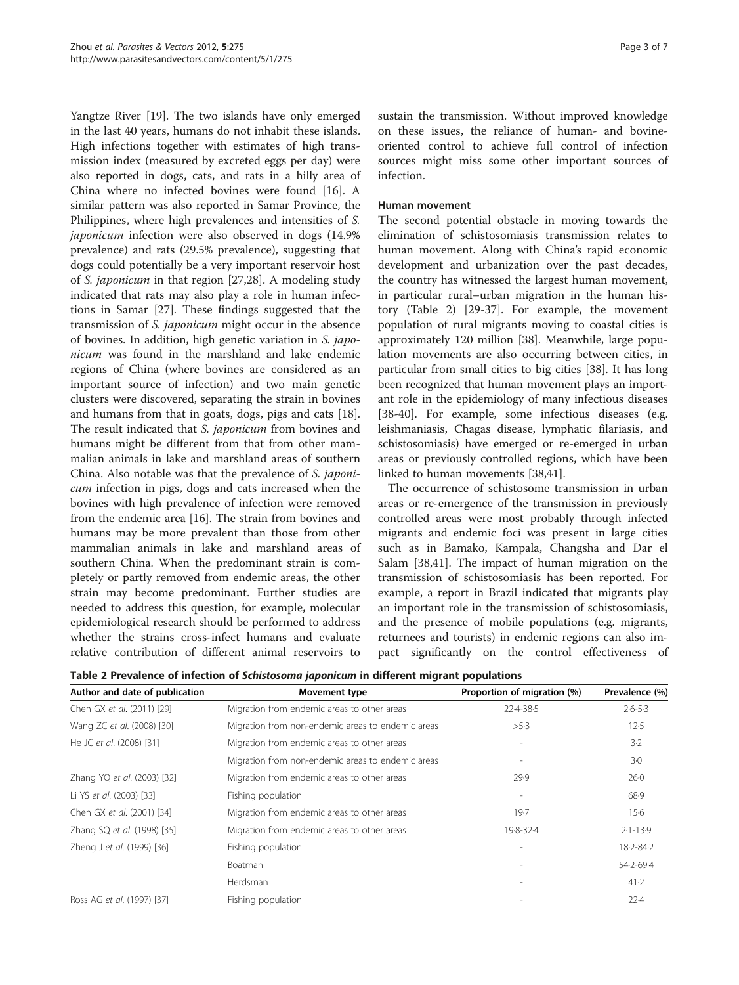<span id="page-2-0"></span>Yangtze River [[19\]](#page-5-0). The two islands have only emerged in the last 40 years, humans do not inhabit these islands. High infections together with estimates of high transmission index (measured by excreted eggs per day) were also reported in dogs, cats, and rats in a hilly area of China where no infected bovines were found [\[16\]](#page-5-0). A similar pattern was also reported in Samar Province, the Philippines, where high prevalences and intensities of S. japonicum infection were also observed in dogs (14.9% prevalence) and rats (29.5% prevalence), suggesting that dogs could potentially be a very important reservoir host of S. japonicum in that region [[27,28\]](#page-5-0). A modeling study indicated that rats may also play a role in human infections in Samar [\[27](#page-5-0)]. These findings suggested that the transmission of S. japonicum might occur in the absence of bovines. In addition, high genetic variation in S. japonicum was found in the marshland and lake endemic regions of China (where bovines are considered as an important source of infection) and two main genetic clusters were discovered, separating the strain in bovines and humans from that in goats, dogs, pigs and cats [\[18](#page-5-0)]. The result indicated that S. japonicum from bovines and humans might be different from that from other mammalian animals in lake and marshland areas of southern China. Also notable was that the prevalence of S. japonicum infection in pigs, dogs and cats increased when the bovines with high prevalence of infection were removed from the endemic area [[16\]](#page-5-0). The strain from bovines and humans may be more prevalent than those from other mammalian animals in lake and marshland areas of southern China. When the predominant strain is completely or partly removed from endemic areas, the other strain may become predominant. Further studies are needed to address this question, for example, molecular epidemiological research should be performed to address whether the strains cross-infect humans and evaluate relative contribution of different animal reservoirs to

sustain the transmission. Without improved knowledge on these issues, the reliance of human- and bovineoriented control to achieve full control of infection sources might miss some other important sources of infection.

## Human movement

The second potential obstacle in moving towards the elimination of schistosomiasis transmission relates to human movement. Along with China's rapid economic development and urbanization over the past decades, the country has witnessed the largest human movement, in particular rural–urban migration in the human history (Table 2) [\[29](#page-5-0)-[37\]](#page-6-0). For example, the movement population of rural migrants moving to coastal cities is approximately 120 million [[38\]](#page-6-0). Meanwhile, large population movements are also occurring between cities, in particular from small cities to big cities [\[38\]](#page-6-0). It has long been recognized that human movement plays an important role in the epidemiology of many infectious diseases [[38-40](#page-6-0)]. For example, some infectious diseases (e.g. leishmaniasis, Chagas disease, lymphatic filariasis, and schistosomiasis) have emerged or re-emerged in urban areas or previously controlled regions, which have been linked to human movements [[38,41\]](#page-6-0).

The occurrence of schistosome transmission in urban areas or re-emergence of the transmission in previously controlled areas were most probably through infected migrants and endemic foci was present in large cities such as in Bamako, Kampala, Changsha and Dar el Salam [[38,41\]](#page-6-0). The impact of human migration on the transmission of schistosomiasis has been reported. For example, a report in Brazil indicated that migrants play an important role in the transmission of schistosomiasis, and the presence of mobile populations (e.g. migrants, returnees and tourists) in endemic regions can also impact significantly on the control effectiveness of

| Author and date of publication | <b>Movement type</b>                              | Proportion of migration (%) | Prevalence (%) |
|--------------------------------|---------------------------------------------------|-----------------------------|----------------|
| Chen GX et al. (2011) [29]     | Migration from endemic areas to other areas       | 22-4-38-5                   | $2.6 - 5.3$    |
| Wang ZC et al. (2008) [30]     | Migration from non-endemic areas to endemic areas | >5.3                        | 12.5           |
| He JC et al. (2008) [31]       | Migration from endemic areas to other areas       | $\overline{\phantom{a}}$    | 3.2            |
|                                | Migration from non-endemic areas to endemic areas | $\overline{\phantom{a}}$    | 3.0            |
| Zhang YQ et al. (2003) [32]    | Migration from endemic areas to other areas       | 29.9                        | 26.0           |
| Li YS et al. (2003) [33]       | Fishing population                                | $\overline{\phantom{a}}$    | 68.9           |
| Chen GX et al. (2001) [34]     | Migration from endemic areas to other areas       | 19.7                        | $15-6$         |
| Zhang SQ et al. (1998) [35]    | Migration from endemic areas to other areas       | 198--32-4                   | $2.1 - 13.9$   |
| Zheng J et al. (1999) [36]     | Fishing population                                | $\overline{\phantom{a}}$    | $18.2 - 84.2$  |
|                                | <b>Boatman</b>                                    |                             | $54.2 - 69.4$  |
|                                | Herdsman                                          | $\overline{\phantom{a}}$    | 41.2           |
| Ross AG et al. (1997) [37]     | Fishing population                                |                             | $22-4$         |

Table 2 Prevalence of infection of Schistosoma japonicum in different migrant populations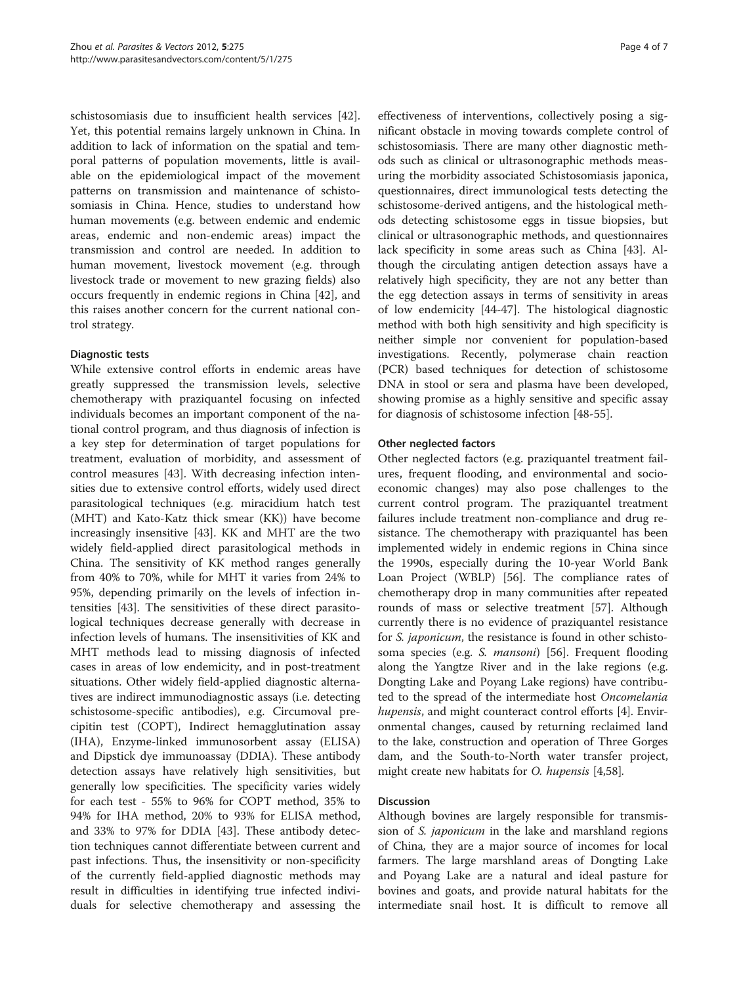schistosomiasis due to insufficient health services [\[42](#page-6-0)]. Yet, this potential remains largely unknown in China. In addition to lack of information on the spatial and temporal patterns of population movements, little is available on the epidemiological impact of the movement patterns on transmission and maintenance of schistosomiasis in China. Hence, studies to understand how human movements (e.g. between endemic and endemic areas, endemic and non-endemic areas) impact the transmission and control are needed. In addition to human movement, livestock movement (e.g. through livestock trade or movement to new grazing fields) also occurs frequently in endemic regions in China [[42\]](#page-6-0), and this raises another concern for the current national control strategy.

## Diagnostic tests

While extensive control efforts in endemic areas have greatly suppressed the transmission levels, selective chemotherapy with praziquantel focusing on infected individuals becomes an important component of the national control program, and thus diagnosis of infection is a key step for determination of target populations for treatment, evaluation of morbidity, and assessment of control measures [\[43\]](#page-6-0). With decreasing infection intensities due to extensive control efforts, widely used direct parasitological techniques (e.g. miracidium hatch test (MHT) and Kato-Katz thick smear (KK)) have become increasingly insensitive [\[43\]](#page-6-0). KK and MHT are the two widely field-applied direct parasitological methods in China. The sensitivity of KK method ranges generally from 40% to 70%, while for MHT it varies from 24% to 95%, depending primarily on the levels of infection intensities [[43](#page-6-0)]. The sensitivities of these direct parasitological techniques decrease generally with decrease in infection levels of humans. The insensitivities of KK and MHT methods lead to missing diagnosis of infected cases in areas of low endemicity, and in post-treatment situations. Other widely field-applied diagnostic alternatives are indirect immunodiagnostic assays (i.e. detecting schistosome-specific antibodies), e.g. Circumoval precipitin test (COPT), Indirect hemagglutination assay (IHA), Enzyme-linked immunosorbent assay (ELISA) and Dipstick dye immunoassay (DDIA). These antibody detection assays have relatively high sensitivities, but generally low specificities. The specificity varies widely for each test - 55% to 96% for COPT method, 35% to 94% for IHA method, 20% to 93% for ELISA method, and 33% to 97% for DDIA [[43\]](#page-6-0). These antibody detection techniques cannot differentiate between current and past infections. Thus, the insensitivity or non-specificity of the currently field-applied diagnostic methods may result in difficulties in identifying true infected individuals for selective chemotherapy and assessing the

effectiveness of interventions, collectively posing a significant obstacle in moving towards complete control of schistosomiasis. There are many other diagnostic methods such as clinical or ultrasonographic methods measuring the morbidity associated Schistosomiasis japonica, questionnaires, direct immunological tests detecting the schistosome-derived antigens, and the histological methods detecting schistosome eggs in tissue biopsies, but clinical or ultrasonographic methods, and questionnaires lack specificity in some areas such as China [\[43](#page-6-0)]. Although the circulating antigen detection assays have a relatively high specificity, they are not any better than the egg detection assays in terms of sensitivity in areas of low endemicity [[44-47\]](#page-6-0). The histological diagnostic method with both high sensitivity and high specificity is neither simple nor convenient for population-based investigations. Recently, polymerase chain reaction (PCR) based techniques for detection of schistosome DNA in stool or sera and plasma have been developed, showing promise as a highly sensitive and specific assay for diagnosis of schistosome infection [\[48](#page-6-0)-[55\]](#page-6-0).

## Other neglected factors

Other neglected factors (e.g. praziquantel treatment failures, frequent flooding, and environmental and socioeconomic changes) may also pose challenges to the current control program. The praziquantel treatment failures include treatment non-compliance and drug resistance. The chemotherapy with praziquantel has been implemented widely in endemic regions in China since the 1990s, especially during the 10-year World Bank Loan Project (WBLP) [[56\]](#page-6-0). The compliance rates of chemotherapy drop in many communities after repeated rounds of mass or selective treatment [[57](#page-6-0)]. Although currently there is no evidence of praziquantel resistance for *S. japonicum*, the resistance is found in other schistosoma species (e.g. S. mansoni) [[56](#page-6-0)]. Frequent flooding along the Yangtze River and in the lake regions (e.g. Dongting Lake and Poyang Lake regions) have contributed to the spread of the intermediate host Oncomelania hupensis, and might counteract control efforts [\[4](#page-5-0)]. Environmental changes, caused by returning reclaimed land to the lake, construction and operation of Three Gorges dam, and the South-to-North water transfer project, might create new habitats for *O. hupensis* [\[4](#page-5-0)[,58](#page-6-0)].

## Discussion

Although bovines are largely responsible for transmission of S. *japonicum* in the lake and marshland regions of China, they are a major source of incomes for local farmers. The large marshland areas of Dongting Lake and Poyang Lake are a natural and ideal pasture for bovines and goats, and provide natural habitats for the intermediate snail host. It is difficult to remove all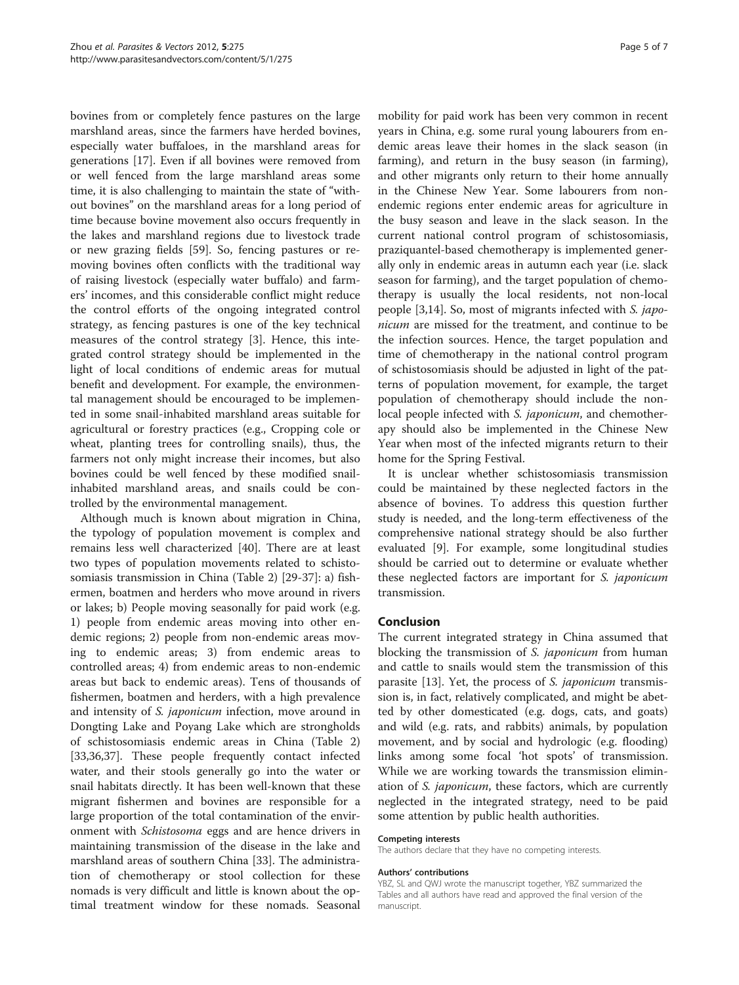bovines from or completely fence pastures on the large marshland areas, since the farmers have herded bovines, especially water buffaloes, in the marshland areas for generations [\[17](#page-5-0)]. Even if all bovines were removed from or well fenced from the large marshland areas some time, it is also challenging to maintain the state of "without bovines" on the marshland areas for a long period of time because bovine movement also occurs frequently in the lakes and marshland regions due to livestock trade or new grazing fields [\[59](#page-6-0)]. So, fencing pastures or removing bovines often conflicts with the traditional way of raising livestock (especially water buffalo) and farmers' incomes, and this considerable conflict might reduce the control efforts of the ongoing integrated control strategy, as fencing pastures is one of the key technical measures of the control strategy [[3\]](#page-5-0). Hence, this integrated control strategy should be implemented in the light of local conditions of endemic areas for mutual benefit and development. For example, the environmental management should be encouraged to be implemented in some snail-inhabited marshland areas suitable for agricultural or forestry practices (e.g., Cropping cole or wheat, planting trees for controlling snails), thus, the farmers not only might increase their incomes, but also bovines could be well fenced by these modified snailinhabited marshland areas, and snails could be controlled by the environmental management.

Although much is known about migration in China, the typology of population movement is complex and remains less well characterized [\[40\]](#page-6-0). There are at least two types of population movements related to schistosomiasis transmission in China (Table [2\)](#page-2-0) [\[29](#page-5-0)-[37](#page-6-0)]: a) fishermen, boatmen and herders who move around in rivers or lakes; b) People moving seasonally for paid work (e.g. 1) people from endemic areas moving into other endemic regions; 2) people from non-endemic areas moving to endemic areas; 3) from endemic areas to controlled areas; 4) from endemic areas to non-endemic areas but back to endemic areas). Tens of thousands of fishermen, boatmen and herders, with a high prevalence and intensity of S. japonicum infection, move around in Dongting Lake and Poyang Lake which are strongholds of schistosomiasis endemic areas in China (Table [2](#page-2-0)) [[33,36,](#page-5-0)[37\]](#page-6-0). These people frequently contact infected water, and their stools generally go into the water or snail habitats directly. It has been well-known that these migrant fishermen and bovines are responsible for a large proportion of the total contamination of the environment with Schistosoma eggs and are hence drivers in maintaining transmission of the disease in the lake and marshland areas of southern China [[33](#page-5-0)]. The administration of chemotherapy or stool collection for these nomads is very difficult and little is known about the optimal treatment window for these nomads. Seasonal

mobility for paid work has been very common in recent years in China, e.g. some rural young labourers from endemic areas leave their homes in the slack season (in farming), and return in the busy season (in farming), and other migrants only return to their home annually in the Chinese New Year. Some labourers from nonendemic regions enter endemic areas for agriculture in the busy season and leave in the slack season. In the current national control program of schistosomiasis, praziquantel-based chemotherapy is implemented generally only in endemic areas in autumn each year (i.e. slack season for farming), and the target population of chemotherapy is usually the local residents, not non-local people [[3,14\]](#page-5-0). So, most of migrants infected with S. japonicum are missed for the treatment, and continue to be the infection sources. Hence, the target population and time of chemotherapy in the national control program of schistosomiasis should be adjusted in light of the patterns of population movement, for example, the target population of chemotherapy should include the nonlocal people infected with *S. japonicum*, and chemotherapy should also be implemented in the Chinese New Year when most of the infected migrants return to their home for the Spring Festival.

It is unclear whether schistosomiasis transmission could be maintained by these neglected factors in the absence of bovines. To address this question further study is needed, and the long-term effectiveness of the comprehensive national strategy should be also further evaluated [[9\]](#page-5-0). For example, some longitudinal studies should be carried out to determine or evaluate whether these neglected factors are important for S. japonicum transmission.

## Conclusion

The current integrated strategy in China assumed that blocking the transmission of S. *japonicum* from human and cattle to snails would stem the transmission of this parasite [\[13\]](#page-5-0). Yet, the process of S. japonicum transmission is, in fact, relatively complicated, and might be abetted by other domesticated (e.g. dogs, cats, and goats) and wild (e.g. rats, and rabbits) animals, by population movement, and by social and hydrologic (e.g. flooding) links among some focal 'hot spots' of transmission. While we are working towards the transmission elimination of *S. japonicum*, these factors, which are currently neglected in the integrated strategy, need to be paid some attention by public health authorities.

#### Competing interests

The authors declare that they have no competing interests.

#### Authors' contributions

YBZ, SL and QWJ wrote the manuscript together, YBZ summarized the Tables and all authors have read and approved the final version of the manuscript.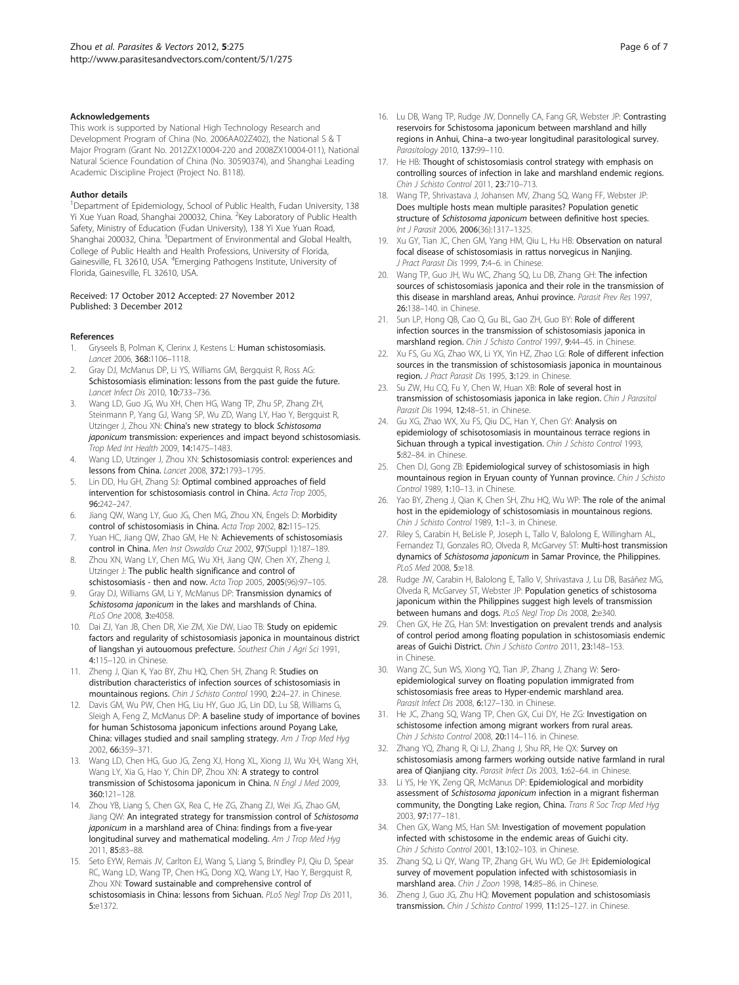#### <span id="page-5-0"></span>Acknowledgements

This work is supported by National High Technology Research and Development Program of China (No. 2006AA02Z402), the National S & T Major Program (Grant No. 2012ZX10004-220 and 2008ZX10004-011), National Natural Science Foundation of China (No. 30590374), and Shanghai Leading Academic Discipline Project (Project No. B118).

#### Author details

<sup>1</sup>Department of Epidemiology, School of Public Health, Fudan University, 138 Yi Xue Yuan Road, Shanghai 200032, China. <sup>2</sup>Key Laboratory of Public Health Safety, Ministry of Education (Fudan University), 138 Yi Xue Yuan Road, Shanghai 200032, China. <sup>3</sup>Department of Environmental and Global Health, College of Public Health and Health Professions, University of Florida, Gainesville, FL 32610, USA. <sup>4</sup>Emerging Pathogens Institute, University of Florida, Gainesville, FL 32610, USA.

#### Received: 17 October 2012 Accepted: 27 November 2012 Published: 3 December 2012

#### References

- Gryseels B, Polman K, Clerinx J, Kestens L: Human schistosomiasis. Lancet 2006, 368:1106–1118.
- 2. Gray DJ, McManus DP, Li YS, Williams GM, Bergquist R, Ross AG: Schistosomiasis elimination: lessons from the past guide the future. Lancet Infect Dis 2010, 10:733–736.
- Wang LD, Guo JG, Wu XH, Chen HG, Wang TP, Zhu SP, Zhang ZH, Steinmann P, Yang GJ, Wang SP, Wu ZD, Wang LY, Hao Y, Bergquist R, Utzinger J, Zhou XN: China's new strategy to block Schistosoma japonicum transmission: experiences and impact beyond schistosomiasis. Trop Med Int Health 2009, 14:1475–1483.
- Wang LD, Utzinger J, Zhou XN: Schistosomiasis control: experiences and lessons from China. Lancet 2008, 372:1793–1795.
- 5. Lin DD, Hu GH, Zhang SJ: Optimal combined approaches of field intervention for schistosomiasis control in China. Acta Trop 2005,  $96.242 - 247$
- 6. Jiang QW, Wang LY, Guo JG, Chen MG, Zhou XN, Engels D: Morbidity control of schistosomiasis in China. Acta Trop 2002, 82:115–125.
- 7. Yuan HC, Jiang QW, Zhao GM, He N: Achievements of schistosomiasis control in China. Men Inst Oswaldo Cruz 2002, 97(Suppl 1):187–189.
- 8. Zhou XN, Wang LY, Chen MG, Wu XH, Jiang QW, Chen XY, Zheng J, Utzinger J: The public health significance and control of schistosomiasis - then and now. Acta Trop 2005, 2005(96):97–105.
- 9. Gray DJ, Williams GM, Li Y, McManus DP: Transmission dynamics of Schistosoma japonicum in the lakes and marshlands of China. PLoS One 2008, 3:e4058.
- 10. Dai ZJ, Yan JB, Chen DR, Xie ZM, Xie DW, Liao TB: Study on epidemic factors and regularity of schistosomiasis japonica in mountainous district of liangshan yi autouomous prefecture. Southest Chin J Agri Sci 1991, 4:115–120. in Chinese.
- 11. Zheng J, Qian K, Yao BY, Zhu HQ, Chen SH, Zhang R: Studies on distribution characteristics of infection sources of schistosomiasis in mountainous regions. Chin J Schisto Control 1990, 2:24–27. in Chinese.
- 12. Davis GM, Wu PW, Chen HG, Liu HY, Guo JG, Lin DD, Lu SB, Williams G, Sleigh A, Feng Z, McManus DP: A baseline study of importance of bovines for human Schistosoma japonicum infections around Poyang Lake, China: villages studied and snail sampling strategy. Am J Trop Med Hyg 2002, 66:359–371.
- 13. Wang LD, Chen HG, Guo JG, Zeng XJ, Hong XL, Xiong JJ, Wu XH, Wang XH, Wang LY, Xia G, Hao Y, Chin DP, Zhou XN: A strategy to control transmission of Schistosoma japonicum in China. N Engl J Med 2009, 360:121–128.
- 14. Zhou YB, Liang S, Chen GX, Rea C, He ZG, Zhang ZJ, Wei JG, Zhao GM, Jiang QW: An integrated strategy for transmission control of Schistosoma japonicum in a marshland area of China: findings from a five-year longitudinal survey and mathematical modeling. Am J Trop Med Hyg 2011, 85:83–88.
- 15. Seto EYW, Remais JV, Carlton EJ, Wang S, Liang S, Brindley PJ, Qiu D, Spear RC, Wang LD, Wang TP, Chen HG, Dong XQ, Wang LY, Hao Y, Bergquist R, Zhou XN: Toward sustainable and comprehensive control of schistosomiasis in China: lessons from Sichuan. PLoS Negl Trop Dis 2011, 5:e1372.
- 16. Lu DB, Wang TP, Rudge JW, Donnelly CA, Fang GR, Webster JP: Contrasting reservoirs for Schistosoma japonicum between marshland and hilly regions in Anhui, China–a two-year longitudinal parasitological survey. Parasitology 2010, 137:99–110.
- 17. He HB: Thought of schistosomiasis control strategy with emphasis on controlling sources of infection in lake and marshland endemic regions. Chin J Schisto Control 2011, 23:710–713.
- 18. Wang TP, Shrivastava J, Johansen MV, Zhang SQ, Wang FF, Webster JP: Does multiple hosts mean multiple parasites? Population genetic structure of Schistosoma japonicum between definitive host species. Int J Parasit 2006, 2006(36):1317–1325.
- 19. Xu GY, Tian JC, Chen GM, Yang HM, Oiu L, Hu HB: Observation on natural focal disease of schistosomiasis in rattus norvegicus in Nanjing. J Pract Parasit Dis 1999, 7:4–6. in Chinese.
- 20. Wang TP, Guo JH, Wu WC, Zhang SQ, Lu DB, Zhang GH: The infection sources of schistosomiasis japonica and their role in the transmission of this disease in marshland areas, Anhui province. Parasit Prev Res 1997, 26:138–140. in Chinese.
- 21. Sun LP, Hong QB, Cao Q, Gu BL, Gao ZH, Guo BY: Role of different infection sources in the transmission of schistosomiasis japonica in marshland region. Chin J Schisto Control 1997, 9:44–45. in Chinese.
- 22. Xu FS, Gu XG, Zhao WX, Li YX, Yin HZ, Zhao LG: Role of different infection sources in the transmission of schistosomiasis japonica in mountainous region. J Pract Parasit Dis 1995, 3:129. in Chinese.
- 23. Su ZW, Hu CQ, Fu Y, Chen W, Huan XB: Role of several host in transmission of schistosomiasis japonica in lake region. Chin J Parasitol Parasit Dis 1994, 12:48–51. in Chinese.
- 24. Gu XG, Zhao WX, Xu FS, Qiu DC, Han Y, Chen GY: Analysis on epidemiology of schisotosomiasis in mountainous terrace regions in Sichuan through a typical investigation. Chin J Schisto Control 1993, 5:82–84. in Chinese.
- 25. Chen DJ, Gong ZB: Epidemiological survey of schistosomiasis in high mountainous region in Eryuan county of Yunnan province. Chin J Schisto Control 1989, 1:10–13. in Chinese.
- 26. Yao BY, Zheng J, Qian K, Chen SH, Zhu HQ, Wu WP: The role of the animal host in the epidemiology of schistosomiasis in mountainous regions. Chin J Schisto Control 1989, 1:1–3. in Chinese.
- 27. Riley S, Carabin H, BeLisle P, Joseph L, Tallo V, Balolong E, Willingham AL, Fernandez TJ, Gonzales RO, Olveda R, McGarvey ST: Multi-host transmission dynamics of Schistosoma japonicum in Samar Province, the Philippines. PLoS Med 2008, 5:e18.
- 28. Rudge JW, Carabin H, Balolong E, Tallo V, Shrivastava J, Lu DB, Basáñez MG, Olveda R, McGarvey ST, Webster JP: Population genetics of schistosoma japonicum within the Philippines suggest high levels of transmission between humans and dogs. PLoS Negl Trop Dis 2008, 2:e340.
- 29. Chen GX, He ZG, Han SM: Investigation on prevalent trends and analysis of control period among floating population in schistosomiasis endemic areas of Guichi District. Chin J Schisto Contro 2011, 23:148–153. in Chinese.
- 30. Wang ZC, Sun WS, Xiong YQ, Tian JP, Zhang J, Zhang W: Seroepidemiological survey on floating population immigrated from schistosomiasis free areas to Hyper-endemic marshland area. Parasit Infect Dis 2008, 6:127-130. in Chinese.
- 31. He JC, Zhang SQ, Wang TP, Chen GX, Cui DY, He ZG: Investigation on schistosome infection among migrant workers from rural areas. Chin J Schisto Control 2008, 20:114–116. in Chinese.
- 32. Zhang YQ, Zhang R, Qi LJ, Zhang J, Shu RR, He QX: Survey on schistosomiasis among farmers working outside native farmland in rural area of Qianjiang city. Parasit Infect Dis 2003, 1:62-64. in Chinese.
- 33. Li YS, He YK, Zeng QR, McManus DP: Epidemiological and morbidity assessment of Schistosoma japonicum infection in a migrant fisherman community, the Dongting Lake region, China. Trans R Soc Trop Med Hyg 2003, 97:177–181.
- 34. Chen GX, Wang MS, Han SM: Investigation of movement population infected with schistosome in the endemic areas of Guichi city. Chin J Schisto Control 2001, 13:102–103. in Chinese.
- 35. Zhang SQ, Li QY, Wang TP, Zhang GH, Wu WD, Ge JH: Epidemiological survey of movement population infected with schistosomiasis in marshland area. Chin J Zoon 1998, 14:85-86. in Chinese.
- 36. Zheng J, Guo JG, Zhu HQ: Movement population and schistosomiasis transmission. Chin J Schisto Control 1999, 11:125–127. in Chinese.